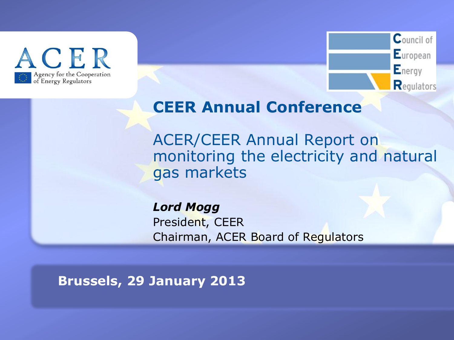



#### **CEER Annual Conference**

ACER/CEER Annual Report on monitoring the electricity and natural gas markets

*Lord Mogg* President, CEER Chairman, ACER Board of Regulators

**TITRE Brussels, 29 January 2013**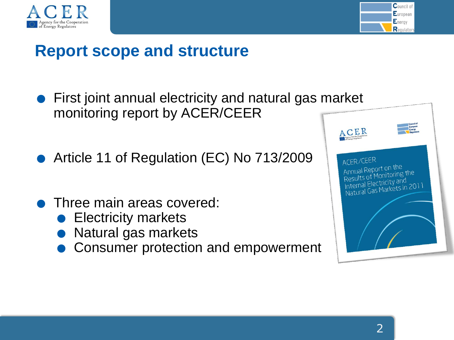



#### **Report scope and structure**

- **•** First joint annual electricity and natural gas market monitoring report by ACER/CEER
- .Article 11 of Regulation (EC) No 713/2009
- **.** Three main areas covered: Three main areas cov<br>• Electricity markets Three main areas cover<br>• Electricity markets<br>• Natural gas markets
	-
	-
	- Natural gas markets<br>Consumer protection and empowerment

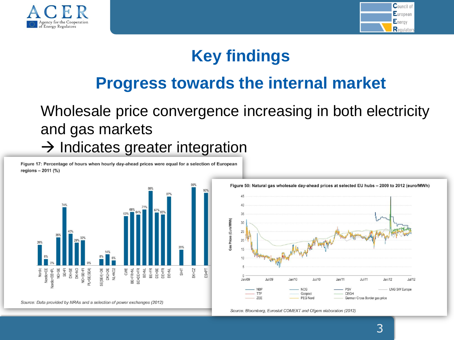



### **Key findings**

### **Progress towards the internal market**

#### Wholesale price convergence increasing in both electricity and gas markets  $\rightarrow$  Indicates greater integration

Figure 17: Percentage of hours when hourly day-ahead prices were equal for a selection of European regions - 2011 (%)





Source: Bloomberg, Eurostat COMEXT and Ofgem elaboration (2012)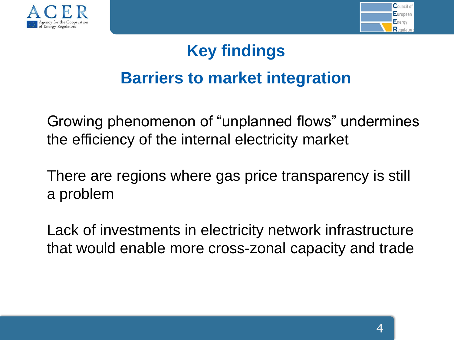



# **Key findings Barriers to market integration**

Growing phenomenon of "unplanned flows" undermines the efficiency of the internal electricity market

There are regions where gas price transparency is still a problem

Lack of investments in electricity network infrastructure that would enable more cross-zonal capacity and trade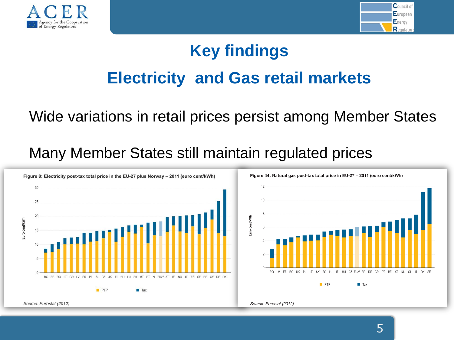



# **Key findings Electricity and Gas retail markets**

#### Wide variations in retail prices persist among Member States

#### Many Member States still maintain regulated prices



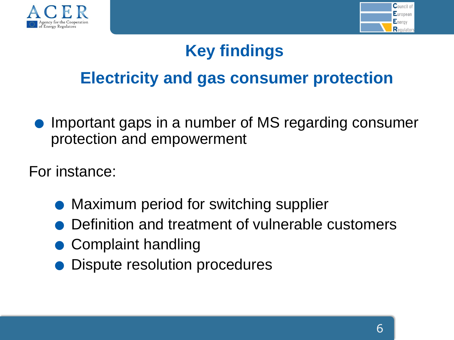



### **Key findings**

### **Electricity and gas consumer protection**

.Important gaps in a number of MS regarding consumer protection and empowerment

For instance:

- .Maximum period for switching supplier
- .Definition and treatment of vulnerable customers
- $\bullet$  Complaint handling
- .Dispute resolution procedures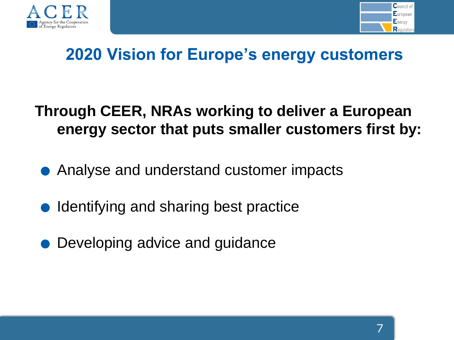



### **2020 Vision for Europe's energy customers**

#### **Through CEER, NRAs working to deliver a European energy sector that puts smaller customers first by:**

- energy sector that puts smaller custome<br>• Analyse and understand customer impacts
- Analyse and understand customer in<br>• Identifying and sharing best practice ● Identifying and sharing best practice<br>● Developing advice and guidance
	-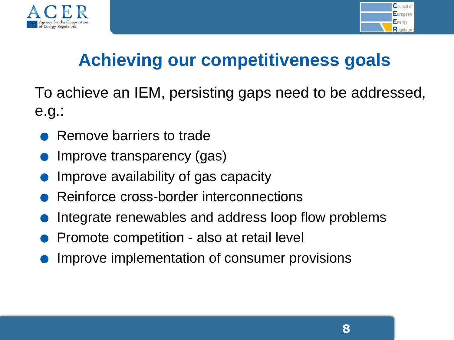



## **Achieving our competitiveness goals**

To achieve an IEM, persisting gaps need to be addressed, e.g.:

- .Remove barriers to trade
- .Improve transparency (gas)
- Nemove barriers to trade<br>• Improve transparency (gas)<br>• Improve availability of gas capacity
- Improve transparency (gas)<br>• Improve availability of gas capacity<br>• Reinforce cross-border interconnections
- Improve availability of gas capacity<br>• Reinforce cross-border interconnections<br>• Integrate renewables and address loop flow problems • Nemote cross-border interconnections<br>• Integrate renewables and address loop fl<br>• Promote competition - also at retail level
	-
	- Promote competition also at retail level<br>Improve implementation of consumer provisions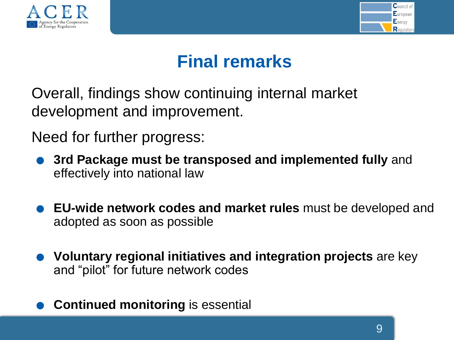



### **Final remarks**

Overall, findings show continuing internal market development and improvement.

Need for further progress:

- . **3rd Package must be transposed and implemented fully** and effectively into national law
- . **EU-wide network codes and market rules** must be developed and adopted as soon as possible
- . **Voluntary regional initiatives and integration projects** are key and "pilot" for future network codes
- . **Continued monitoring** is essential